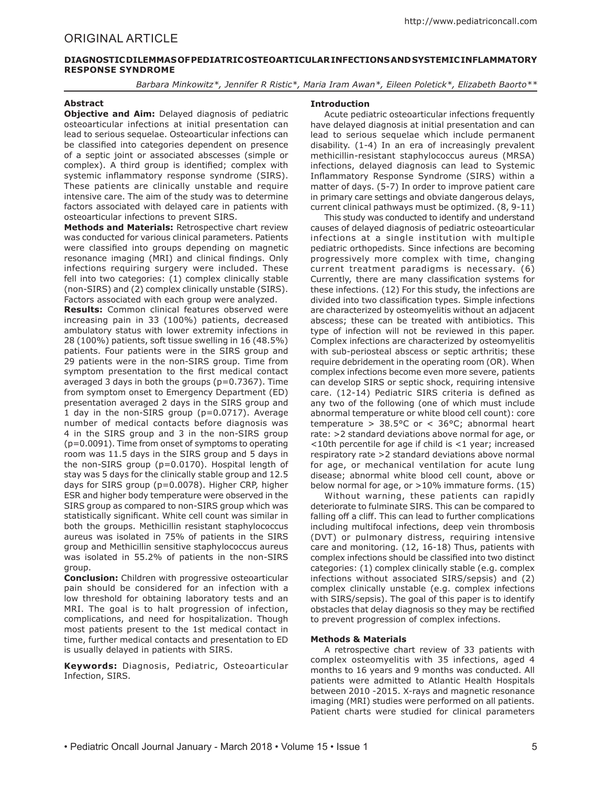# ORIGINAL ARTICLE

# **DIAGNOSTIC DILEMMAS OF PEDIATRIC OSTEOARTICULAR INFECTIONS AND SYSTEMIC INFLAMMATORY RESPONSE SYNDROME**

*Barbara Minkowitz\*, Jennifer R Ristic\*, Maria Iram Awan\*, Eileen Poletick\*, Elizabeth Baorto\*\**

# **Abstract**

**Objective and Aim:** Delayed diagnosis of pediatric osteoarticular infections at initial presentation can lead to serious sequelae. Osteoarticular infections can be classified into categories dependent on presence of a septic joint or associated abscesses (simple or complex). A third group is identified; complex with systemic inflammatory response syndrome (SIRS). These patients are clinically unstable and require intensive care. The aim of the study was to determine factors associated with delayed care in patients with osteoarticular infections to prevent SIRS.

**Methods and Materials:** Retrospective chart review was conducted for various clinical parameters. Patients were classified into groups depending on magnetic resonance imaging (MRI) and clinical findings. Only infections requiring surgery were included. These fell into two categories: (1) complex clinically stable (non-SIRS) and (2) complex clinically unstable (SIRS). Factors associated with each group were analyzed.

**Results:** Common clinical features observed were increasing pain in 33 (100%) patients, decreased ambulatory status with lower extremity infections in 28 (100%) patients, soft tissue swelling in 16 (48.5%) patients. Four patients were in the SIRS group and 29 patients were in the non-SIRS group. Time from symptom presentation to the first medical contact averaged 3 days in both the groups (p=0.7367). Time from symptom onset to Emergency Department (ED) presentation averaged 2 days in the SIRS group and 1 day in the non-SIRS group (p=0.0717). Average number of medical contacts before diagnosis was 4 in the SIRS group and 3 in the non-SIRS group (p=0.0091). Time from onset of symptoms to operating room was 11.5 days in the SIRS group and 5 days in the non-SIRS group (p=0.0170). Hospital length of stay was 5 days for the clinically stable group and 12.5 days for SIRS group (p=0.0078). Higher CRP, higher ESR and higher body temperature were observed in the SIRS group as compared to non-SIRS group which was statistically significant. White cell count was similar in both the groups. Methicillin resistant staphylococcus aureus was isolated in 75% of patients in the SIRS group and Methicillin sensitive staphylococcus aureus was isolated in 55.2% of patients in the non-SIRS group.

**Conclusion:** Children with progressive osteoarticular pain should be considered for an infection with a low threshold for obtaining laboratory tests and an MRI. The goal is to halt progression of infection, complications, and need for hospitalization. Though most patients present to the 1st medical contact in time, further medical contacts and presentation to ED is usually delayed in patients with SIRS.

**Keywords:** Diagnosis, Pediatric, Osteoarticular Infection, SIRS.

### **Introduction**

Acute pediatric osteoarticular infections frequently have delayed diagnosis at initial presentation and can lead to serious sequelae which include permanent disability. (1-4) In an era of increasingly prevalent methicillin-resistant staphylococcus aureus (MRSA) infections, delayed diagnosis can lead to Systemic Inflammatory Response Syndrome (SIRS) within a matter of days. (5-7) In order to improve patient care in primary care settings and obviate dangerous delays, current clinical pathways must be optimized. (8, 9-11)

This study was conducted to identify and understand causes of delayed diagnosis of pediatric osteoarticular infections at a single institution with multiple pediatric orthopedists. Since infections are becoming progressively more complex with time, changing current treatment paradigms is necessary. (6) Currently, there are many classification systems for these infections. (12) For this study, the infections are divided into two classification types. Simple infections are characterized by osteomyelitis without an adjacent abscess; these can be treated with antibiotics. This type of infection will not be reviewed in this paper. Complex infections are characterized by osteomyelitis with sub-periosteal abscess or septic arthritis; these require debridement in the operating room (OR). When complex infections become even more severe, patients can develop SIRS or septic shock, requiring intensive care. (12-14) Pediatric SIRS criteria is defined as any two of the following (one of which must include abnormal temperature or white blood cell count): core temperature >  $38.5^{\circ}$ C or <  $36^{\circ}$ C; abnormal heart rate: >2 standard deviations above normal for age, or <10th percentile for age if child is <1 year; increased respiratory rate >2 standard deviations above normal for age, or mechanical ventilation for acute lung disease; abnormal white blood cell count, above or below normal for age, or >10% immature forms. (15)

Without warning, these patients can rapidly deteriorate to fulminate SIRS. This can be compared to falling off a cliff. This can lead to further complications including multifocal infections, deep vein thrombosis (DVT) or pulmonary distress, requiring intensive care and monitoring. (12, 16-18) Thus, patients with complex infections should be classified into two distinct categories: (1) complex clinically stable (e.g. complex infections without associated SIRS/sepsis) and (2) complex clinically unstable (e.g. complex infections with SIRS/sepsis). The goal of this paper is to identify obstacles that delay diagnosis so they may be rectified to prevent progression of complex infections.

# **Methods & Materials**

A retrospective chart review of 33 patients with complex osteomyelitis with 35 infections, aged 4 months to 16 years and 9 months was conducted. All patients were admitted to Atlantic Health Hospitals between 2010 -2015. X-rays and magnetic resonance imaging (MRI) studies were performed on all patients. Patient charts were studied for clinical parameters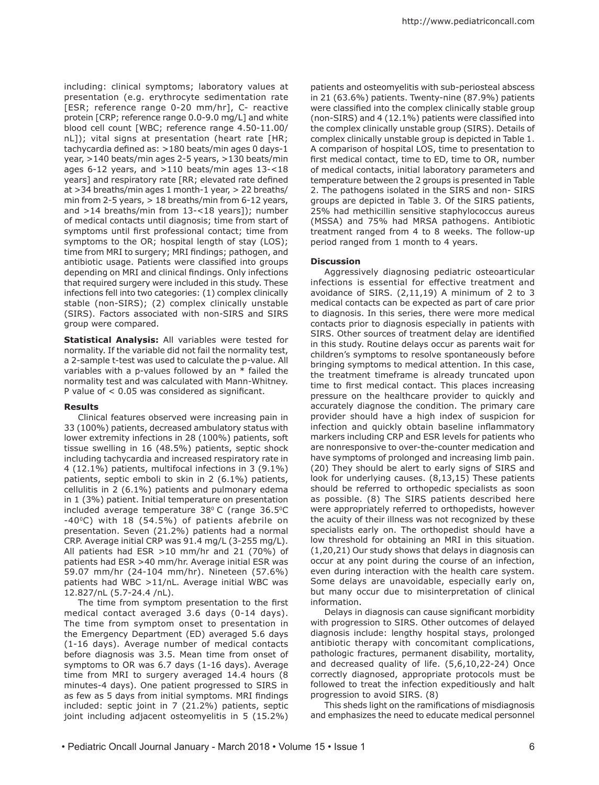including: clinical symptoms; laboratory values at presentation (e.g. erythrocyte sedimentation rate [ESR; reference range 0-20 mm/hr], C- reactive protein [CRP; reference range 0.0-9.0 mg/L] and white blood cell count [WBC; reference range 4.50-11.00/ nL]); vital signs at presentation (heart rate [HR; tachycardia defined as: >180 beats/min ages 0 days-1 year, >140 beats/min ages 2-5 years, >130 beats/min ages 6-12 years, and >110 beats/min ages 13-<18 years] and respiratory rate [RR; elevated rate defined at >34 breaths/min ages 1 month-1 year, > 22 breaths/ min from 2-5 years, > 18 breaths/min from 6-12 years, and >14 breaths/min from 13-<18 years]); number of medical contacts until diagnosis; time from start of symptoms until first professional contact; time from symptoms to the OR; hospital length of stay (LOS); time from MRI to surgery; MRI findings; pathogen, and antibiotic usage. Patients were classified into groups depending on MRI and clinical findings. Only infections that required surgery were included in this study. These infections fell into two categories: (1) complex clinically stable (non-SIRS); (2) complex clinically unstable (SIRS). Factors associated with non-SIRS and SIRS group were compared.

**Statistical Analysis:** All variables were tested for normality. If the variable did not fail the normality test, a 2-sample t-test was used to calculate the p-value. All variables with a p-values followed by an  $*$  failed the normality test and was calculated with Mann-Whitney. P value of < 0.05 was considered as significant.

#### **Results**

Clinical features observed were increasing pain in 33 (100%) patients, decreased ambulatory status with lower extremity infections in 28 (100%) patients, soft tissue swelling in 16 (48.5%) patients, septic shock including tachycardia and increased respiratory rate in 4 (12.1%) patients, multifocal infections in 3 (9.1%) patients, septic emboli to skin in 2 (6.1%) patients, cellulitis in 2 (6.1%) patients and pulmonary edema in 1 (3%) patient. Initial temperature on presentation included average temperature  $38^{\circ}$  C (range  $36.5^{\circ}$ C  $-40^{\circ}$ C) with 18 (54.5%) of patients afebrile on presentation. Seven (21.2%) patients had a normal CRP. Average initial CRP was 91.4 mg/L (3-255 mg/L). All patients had ESR >10 mm/hr and 21 (70%) of patients had ESR >40 mm/hr. Average initial ESR was 59.07 mm/hr (24-104 mm/hr). Nineteen (57.6%) patients had WBC >11/nL. Average initial WBC was 12.827/nL (5.7-24.4 /nL).

The time from symptom presentation to the first medical contact averaged 3.6 days (0-14 days). The time from symptom onset to presentation in the Emergency Department (ED) averaged 5.6 days (1-16 days). Average number of medical contacts before diagnosis was 3.5. Mean time from onset of symptoms to OR was 6.7 days (1-16 days). Average time from MRI to surgery averaged 14.4 hours (8 minutes-4 days). One patient progressed to SIRS in as few as 5 days from initial symptoms. MRI findings included: septic joint in 7 (21.2%) patients, septic joint including adjacent osteomyelitis in 5 (15.2%)

patients and osteomyelitis with sub-periosteal abscess in 21 (63.6%) patients. Twenty-nine (87.9%) patients were classified into the complex clinically stable group (non-SIRS) and 4 (12.1%) patients were classified into the complex clinically unstable group (SIRS). Details of complex clinically unstable group is depicted in Table 1. A comparison of hospital LOS, time to presentation to first medical contact, time to ED, time to OR, number of medical contacts, initial laboratory parameters and temperature between the 2 groups is presented in Table 2. The pathogens isolated in the SIRS and non- SIRS groups are depicted in Table 3. Of the SIRS patients, 25% had methicillin sensitive staphylococcus aureus (MSSA) and 75% had MRSA pathogens. Antibiotic treatment ranged from 4 to 8 weeks. The follow-up period ranged from 1 month to 4 years.

# **Discussion**

Aggressively diagnosing pediatric osteoarticular infections is essential for effective treatment and avoidance of SIRS. (2,11,19) A minimum of 2 to 3 medical contacts can be expected as part of care prior to diagnosis. In this series, there were more medical contacts prior to diagnosis especially in patients with SIRS. Other sources of treatment delay are identified in this study. Routine delays occur as parents wait for children's symptoms to resolve spontaneously before bringing symptoms to medical attention. In this case, the treatment timeframe is already truncated upon time to first medical contact. This places increasing pressure on the healthcare provider to quickly and accurately diagnose the condition. The primary care provider should have a high index of suspicion for infection and quickly obtain baseline inflammatory markers including CRP and ESR levels for patients who are nonresponsive to over-the-counter medication and have symptoms of prolonged and increasing limb pain. (20) They should be alert to early signs of SIRS and look for underlying causes. (8,13,15) These patients should be referred to orthopedic specialists as soon as possible. (8) The SIRS patients described here were appropriately referred to orthopedists, however the acuity of their illness was not recognized by these specialists early on. The orthopedist should have a low threshold for obtaining an MRI in this situation. (1,20,21) Our study shows that delays in diagnosis can occur at any point during the course of an infection, even during interaction with the health care system. Some delays are unavoidable, especially early on, but many occur due to misinterpretation of clinical information.

Delays in diagnosis can cause significant morbidity with progression to SIRS. Other outcomes of delayed diagnosis include: lengthy hospital stays, prolonged antibiotic therapy with concomitant complications, pathologic fractures, permanent disability, mortality, and decreased quality of life. (5,6,10,22-24) Once correctly diagnosed, appropriate protocols must be followed to treat the infection expeditiously and halt progression to avoid SIRS. (8)

This sheds light on the ramifications of misdiagnosis and emphasizes the need to educate medical personnel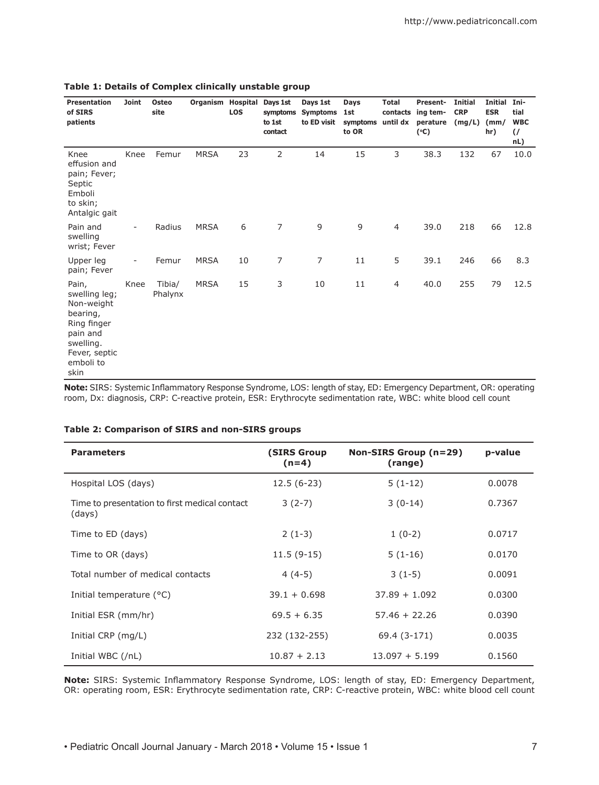| <b>Presentation</b><br>of SIRS<br>patients                                                                                     | <b>Joint</b>             | <b>Osteo</b><br>site | Organism Hospital | <b>LOS</b> | Days 1st<br>symptoms<br>to 1st<br>contact | Days 1st<br><b>Symptoms</b><br>to ED visit | Days<br>1st<br>symptoms<br>to OR | <b>Total</b>   | Present-<br>contacts ing tem-<br>until dx perature<br>(°C) | <b>Initial</b><br><b>CRP</b><br>(mg/L) | Initial<br><b>ESR</b><br>(mm)<br>hr) | Ini-<br>tial<br><b>WBC</b><br>$\mathcal{U}$<br>nL) |
|--------------------------------------------------------------------------------------------------------------------------------|--------------------------|----------------------|-------------------|------------|-------------------------------------------|--------------------------------------------|----------------------------------|----------------|------------------------------------------------------------|----------------------------------------|--------------------------------------|----------------------------------------------------|
| Knee<br>effusion and<br>pain; Fever;<br>Septic<br>Emboli<br>to skin;<br>Antalgic gait                                          | Knee                     | Femur                | <b>MRSA</b>       | 23         | 2                                         | 14                                         | 15                               | 3              | 38.3                                                       | 132                                    | 67                                   | 10.0                                               |
| Pain and<br>swelling<br>wrist; Fever                                                                                           | $\overline{\phantom{a}}$ | Radius               | <b>MRSA</b>       | 6          | 7                                         | 9                                          | 9                                | $\overline{4}$ | 39.0                                                       | 218                                    | 66                                   | 12.8                                               |
| Upper leg<br>pain; Fever                                                                                                       |                          | Femur                | <b>MRSA</b>       | 10         | 7                                         | $\overline{7}$                             | 11                               | 5              | 39.1                                                       | 246                                    | 66                                   | 8.3                                                |
| Pain,<br>swelling leg;<br>Non-weight<br>bearing,<br>Ring finger<br>pain and<br>swelling.<br>Fever, septic<br>emboli to<br>skin | Knee                     | Tibia/<br>Phalynx    | <b>MRSA</b>       | 15         | 3                                         | 10                                         | 11                               | 4              | 40.0                                                       | 255                                    | 79                                   | 12.5                                               |

# **Table 1: Details of Complex clinically unstable group**

**Note:** SIRS: Systemic Inflammatory Response Syndrome, LOS: length of stay, ED: Emergency Department, OR: operating room, Dx: diagnosis, CRP: C-reactive protein, ESR: Erythrocyte sedimentation rate, WBC: white blood cell count

# **Table 2: Comparison of SIRS and non-SIRS groups**

| <b>Parameters</b>                                       | (SIRS Group<br>$(n=4)$ | Non-SIRS Group (n=29)<br>(range) | p-value |
|---------------------------------------------------------|------------------------|----------------------------------|---------|
| Hospital LOS (days)                                     | $12.5(6-23)$           | $5(1-12)$                        | 0.0078  |
| Time to presentation to first medical contact<br>(days) | $3(2-7)$               | $3(0-14)$                        | 0.7367  |
| Time to ED (days)                                       | $2(1-3)$               | $1(0-2)$                         | 0.0717  |
| Time to OR (days)                                       | $11.5(9-15)$           | $5(1-16)$                        | 0.0170  |
| Total number of medical contacts                        | $4(4-5)$               | $3(1-5)$                         | 0.0091  |
| Initial temperature (°C)                                | $39.1 + 0.698$         | $37.89 + 1.092$                  | 0.0300  |
| Initial ESR (mm/hr)                                     | $69.5 + 6.35$          | $57.46 + 22.26$                  | 0.0390  |
| Initial CRP (mg/L)                                      | 232 (132-255)          | 69.4 (3-171)                     | 0.0035  |
| Initial WBC (/nL)                                       | $10.87 + 2.13$         | $13.097 + 5.199$                 | 0.1560  |

**Note:** SIRS: Systemic Inflammatory Response Syndrome, LOS: length of stay, ED: Emergency Department, OR: operating room, ESR: Erythrocyte sedimentation rate, CRP: C-reactive protein, WBC: white blood cell count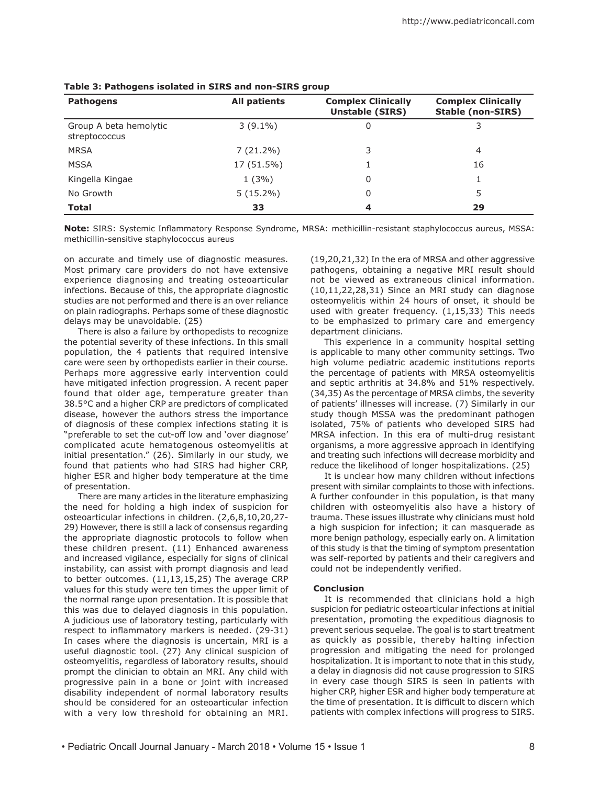| <b>Pathogens</b>                        | <b>All patients</b> | <b>Complex Clinically</b><br><b>Unstable (SIRS)</b> | <b>Complex Clinically</b><br><b>Stable (non-SIRS)</b> |
|-----------------------------------------|---------------------|-----------------------------------------------------|-------------------------------------------------------|
| Group A beta hemolytic<br>streptococcus | $3(9.1\%)$          | 0                                                   | 3                                                     |
| <b>MRSA</b>                             | $7(21.2\%)$         | 3                                                   | 4                                                     |
| <b>MSSA</b>                             | 17 (51.5%)          |                                                     | 16                                                    |
| Kingella Kingae                         | 1(3%)               | 0                                                   |                                                       |
| No Growth                               | $5(15.2\%)$         | 0                                                   | 5                                                     |
| <b>Total</b>                            | 33                  | 4                                                   | 29                                                    |

### **Table 3: Pathogens isolated in SIRS and non-SIRS group**

**Note:** SIRS: Systemic Inflammatory Response Syndrome, MRSA: methicillin-resistant staphylococcus aureus, MSSA: methicillin-sensitive staphylococcus aureus

on accurate and timely use of diagnostic measures. Most primary care providers do not have extensive experience diagnosing and treating osteoarticular infections. Because of this, the appropriate diagnostic studies are not performed and there is an over reliance on plain radiographs. Perhaps some of these diagnostic delays may be unavoidable. (25)

There is also a failure by orthopedists to recognize the potential severity of these infections. In this small population, the 4 patients that required intensive care were seen by orthopedists earlier in their course. Perhaps more aggressive early intervention could have mitigated infection progression. A recent paper found that older age, temperature greater than 38.5°C and a higher CRP are predictors of complicated disease, however the authors stress the importance of diagnosis of these complex infections stating it is "preferable to set the cut-off low and 'over diagnose' complicated acute hematogenous osteomyelitis at initial presentation." (26). Similarly in our study, we found that patients who had SIRS had higher CRP, higher ESR and higher body temperature at the time of presentation.

There are many articles in the literature emphasizing the need for holding a high index of suspicion for osteoarticular infections in children. (2,6,8,10,20,27- 29) However, there is still a lack of consensus regarding the appropriate diagnostic protocols to follow when these children present. (11) Enhanced awareness and increased vigilance, especially for signs of clinical instability, can assist with prompt diagnosis and lead to better outcomes. (11,13,15,25) The average CRP values for this study were ten times the upper limit of the normal range upon presentation. It is possible that this was due to delayed diagnosis in this population. A judicious use of laboratory testing, particularly with respect to inflammatory markers is needed. (29-31) In cases where the diagnosis is uncertain, MRI is a useful diagnostic tool. (27) Any clinical suspicion of osteomyelitis, regardless of laboratory results, should prompt the clinician to obtain an MRI. Any child with progressive pain in a bone or joint with increased disability independent of normal laboratory results should be considered for an osteoarticular infection with a very low threshold for obtaining an MRI.

(19,20,21,32) In the era of MRSA and other aggressive pathogens, obtaining a negative MRI result should not be viewed as extraneous clinical information. (10,11,22,28,31) Since an MRI study can diagnose osteomyelitis within 24 hours of onset, it should be used with greater frequency. (1,15,33) This needs to be emphasized to primary care and emergency department clinicians.

This experience in a community hospital setting is applicable to many other community settings. Two high volume pediatric academic institutions reports the percentage of patients with MRSA osteomyelitis and septic arthritis at 34.8% and 51% respectively. (34,35) As the percentage of MRSA climbs, the severity of patients' illnesses will increase. (7) Similarly in our study though MSSA was the predominant pathogen isolated, 75% of patients who developed SIRS had MRSA infection. In this era of multi-drug resistant organisms, a more aggressive approach in identifying and treating such infections will decrease morbidity and reduce the likelihood of longer hospitalizations. (25)

It is unclear how many children without infections present with similar complaints to those with infections. A further confounder in this population, is that many children with osteomyelitis also have a history of trauma. These issues illustrate why clinicians must hold a high suspicion for infection; it can masquerade as more benign pathology, especially early on. A limitation of this study is that the timing of symptom presentation was self-reported by patients and their caregivers and could not be independently verified.

#### **Conclusion**

It is recommended that clinicians hold a high suspicion for pediatric osteoarticular infections at initial presentation, promoting the expeditious diagnosis to prevent serious sequelae. The goal is to start treatment as quickly as possible, thereby halting infection progression and mitigating the need for prolonged hospitalization. It is important to note that in this study, a delay in diagnosis did not cause progression to SIRS in every case though SIRS is seen in patients with higher CRP, higher ESR and higher body temperature at the time of presentation. It is difficult to discern which patients with complex infections will progress to SIRS.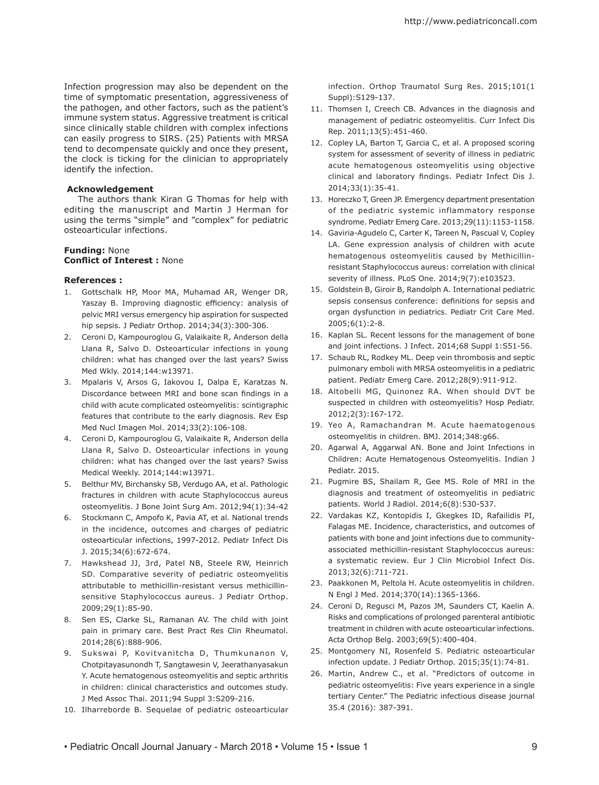Infection progression may also be dependent on the time of symptomatic presentation, aggressiveness of the pathogen, and other factors, such as the patient's immune system status. Aggressive treatment is critical since clinically stable children with complex infections can easily progress to SIRS. (25) Patients with MRSA tend to decompensate quickly and once they present, the clock is ticking for the clinician to appropriately identify the infection.

#### **Acknowledgement**

The authors thank Kiran G Thomas for help with editing the manuscript and Martin J Herman for using the terms "simple" and "complex" for pediatric osteoarticular infections.

### **Funding:** None **Conflict of Interest :** None

### **References :**

- 1. Gottschalk HP, Moor MA, Muhamad AR, Wenger DR, Yaszay B. Improving diagnostic efficiency: analysis of pelvic MRI versus emergency hip aspiration for suspected hip sepsis. J Pediatr Orthop. 2014;34(3):300-306.
- 2. Ceroni D, Kampouroglou G, Valaikaite R, Anderson della Llana R, Salvo D. Osteoarticular infections in young children: what has changed over the last years? Swiss Med Wkly. 2014;144:w13971.
- 3. Mpalaris V, Arsos G, Iakovou I, Dalpa E, Karatzas N. Discordance between MRI and bone scan findings in a child with acute complicated osteomyelitis: scintigraphic features that contribute to the early diagnosis. Rev Esp Med Nucl Imagen Mol. 2014;33(2):106-108.
- 4. Ceroni D, Kampouroglou G, Valaikaite R, Anderson della Llana R, Salvo D. Osteoarticular infections in young children: what has changed over the last years? Swiss Medical Weekly. 2014;144:w13971.
- 5. Belthur MV, Birchansky SB, Verdugo AA, et al. Pathologic fractures in children with acute Staphylococcus aureus osteomyelitis. J Bone Joint Surg Am. 2012;94(1):34-42
- 6. Stockmann C, Ampofo K, Pavia AT, et al. National trends in the incidence, outcomes and charges of pediatric osteoarticular infections, 1997-2012. Pediatr Infect Dis J. 2015;34(6):672-674.
- 7. Hawkshead JJ, 3rd, Patel NB, Steele RW, Heinrich SD. Comparative severity of pediatric osteomyelitis attributable to methicillin-resistant versus methicillinsensitive Staphylococcus aureus. J Pediatr Orthop. 2009;29(1):85-90.
- 8. Sen ES, Clarke SL, Ramanan AV. The child with joint pain in primary care. Best Pract Res Clin Rheumatol. 2014;28(6):888-906.
- 9. Sukswai P, Kovitvanitcha D, Thumkunanon V, Chotpitayasunondh T, Sangtawesin V, Jeerathanyasakun Y. Acute hematogenous osteomyelitis and septic arthritis in children: clinical characteristics and outcomes study. J Med Assoc Thai. 2011;94 Suppl 3:S209-216.
- 10. Ilharreborde B. Sequelae of pediatric osteoarticular

infection. Orthop Traumatol Surg Res. 2015;101(1 Suppl):S129-137.

- 11. Thomsen I, Creech CB. Advances in the diagnosis and management of pediatric osteomyelitis. Curr Infect Dis Rep. 2011;13(5):451-460.
- 12. Copley LA, Barton T, Garcia C, et al. A proposed scoring system for assessment of severity of illness in pediatric acute hematogenous osteomyelitis using objective clinical and laboratory findings. Pediatr Infect Dis J. 2014;33(1):35-41.
- 13. Horeczko T, Green JP. Emergency department presentation of the pediatric systemic inflammatory response syndrome. Pediatr Emerg Care. 2013;29(11):1153-1158.
- 14. Gaviria-Agudelo C, Carter K, Tareen N, Pascual V, Copley LA. Gene expression analysis of children with acute hematogenous osteomyelitis caused by Methicillinresistant Staphylococcus aureus: correlation with clinical severity of illness. PLoS One. 2014;9(7):e103523.
- 15. Goldstein B, Giroir B, Randolph A. International pediatric sepsis consensus conference: definitions for sepsis and organ dysfunction in pediatrics. Pediatr Crit Care Med. 2005;6(1):2-8.
- 16. Kaplan SL. Recent lessons for the management of bone and joint infections. J Infect. 2014;68 Suppl 1:S51-56.
- 17. Schaub RL, Rodkey ML. Deep vein thrombosis and septic pulmonary emboli with MRSA osteomyelitis in a pediatric patient. Pediatr Emerg Care. 2012;28(9):911-912.
- 18. Altobelli MG, Quinonez RA. When should DVT be suspected in children with osteomyelitis? Hosp Pediatr. 2012;2(3):167-172.
- 19. Yeo A, Ramachandran M. Acute haematogenous osteomyelitis in children. BMJ. 2014;348:g66.
- 20. Agarwal A, Aggarwal AN. Bone and Joint Infections in Children: Acute Hematogenous Osteomyelitis. Indian J Pediatr. 2015.
- 21. Pugmire BS, Shailam R, Gee MS. Role of MRI in the diagnosis and treatment of osteomyelitis in pediatric patients. World J Radiol. 2014;6(8):530-537.
- 22. Vardakas KZ, Kontopidis I, Gkegkes ID, Rafailidis PI, Falagas ME. Incidence, characteristics, and outcomes of patients with bone and joint infections due to communityassociated methicillin-resistant Staphylococcus aureus: a systematic review. Eur J Clin Microbiol Infect Dis. 2013;32(6):711-721.
- 23. Paakkonen M, Peltola H. Acute osteomyelitis in children. N Engl J Med. 2014;370(14):1365-1366.
- 24. Ceroni D, Regusci M, Pazos JM, Saunders CT, Kaelin A. Risks and complications of prolonged parenteral antibiotic treatment in children with acute osteoarticular infections. Acta Orthop Belg. 2003;69(5):400-404.
- 25. Montgomery NI, Rosenfeld S. Pediatric osteoarticular infection update. J Pediatr Orthop. 2015;35(1):74-81.
- 26. Martin, Andrew C., et al. "Predictors of outcome in pediatric osteomyelitis: Five years experience in a single tertiary Center." The Pediatric infectious disease journal 35.4 (2016): 387-391.